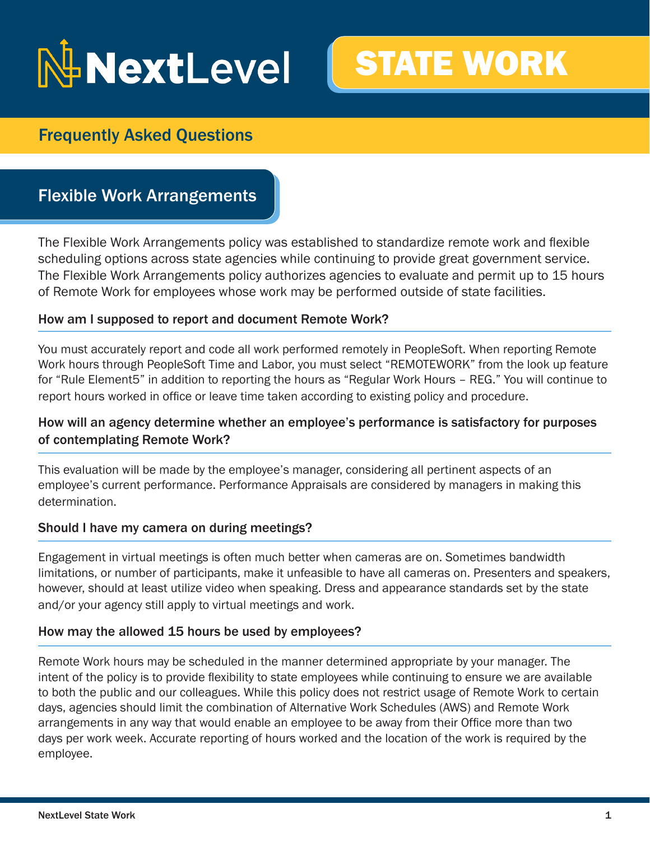# NextLevel



# Frequently Asked Questions

# Flexible Work Arrangements

The Flexible Work Arrangements policy was established to standardize remote work and flexible scheduling options across state agencies while continuing to provide great government service. The Flexible Work Arrangements policy authorizes agencies to evaluate and permit up to 15 hours of Remote Work for employees whose work may be performed outside of state facilities.

# How am I supposed to report and document Remote Work?

You must accurately report and code all work performed remotely in PeopleSoft. When reporting Remote Work hours through PeopleSoft Time and Labor, you must select "REMOTEWORK" from the look up feature for "Rule Element5" in addition to reporting the hours as "Regular Work Hours – REG." You will continue to report hours worked in office or leave time taken according to existing policy and procedure.

# How will an agency determine whether an employee's performance is satisfactory for purposes of contemplating Remote Work?

This evaluation will be made by the employee's manager, considering all pertinent aspects of an employee's current performance. Performance Appraisals are considered by managers in making this determination.

# Should I have my camera on during meetings?

Engagement in virtual meetings is often much better when cameras are on. Sometimes bandwidth limitations, or number of participants, make it unfeasible to have all cameras on. Presenters and speakers, however, should at least utilize video when speaking. Dress and appearance standards set by the state and/or your agency still apply to virtual meetings and work.

# How may the allowed 15 hours be used by employees?

Remote Work hours may be scheduled in the manner determined appropriate by your manager. The intent of the policy is to provide flexibility to state employees while continuing to ensure we are available to both the public and our colleagues. While this policy does not restrict usage of Remote Work to certain days, agencies should limit the combination of Alternative Work Schedules (AWS) and Remote Work arrangements in any way that would enable an employee to be away from their Office more than two days per work week. Accurate reporting of hours worked and the location of the work is required by the employee.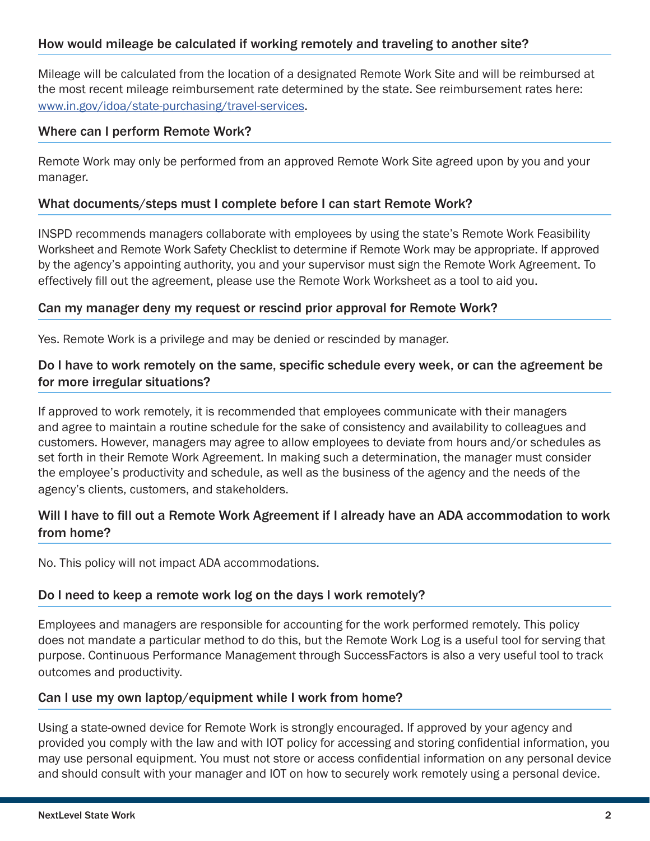# How would mileage be calculated if working remotely and traveling to another site?

Mileage will be calculated from the location of a designated Remote Work Site and will be reimbursed at the most recent mileage reimbursement rate determined by the state. See reimbursement rates here: www.in.gov/idoa/state-purchasing/travel-services.

# Where can I perform Remote Work?

Remote Work may only be performed from an approved Remote Work Site agreed upon by you and your manager.

# What documents/steps must I complete before I can start Remote Work?

INSPD recommends managers collaborate with employees by using the state's Remote Work Feasibility Worksheet and Remote Work Safety Checklist to determine if Remote Work may be appropriate. If approved by the agency's appointing authority, you and your supervisor must sign the Remote Work Agreement. To effectively fill out the agreement, please use the Remote Work Worksheet as a tool to aid you.

#### Can my manager deny my request or rescind prior approval for Remote Work?

Yes. Remote Work is a privilege and may be denied or rescinded by manager.

# Do I have to work remotely on the same, specific schedule every week, or can the agreement be for more irregular situations?

If approved to work remotely, it is recommended that employees communicate with their managers and agree to maintain a routine schedule for the sake of consistency and availability to colleagues and customers. However, managers may agree to allow employees to deviate from hours and/or schedules as set forth in their Remote Work Agreement. In making such a determination, the manager must consider the employee's productivity and schedule, as well as the business of the agency and the needs of the agency's clients, customers, and stakeholders.

# Will I have to fill out a Remote Work Agreement if I already have an ADA accommodation to work from home?

No. This policy will not impact ADA accommodations.

# Do I need to keep a remote work log on the days I work remotely?

Employees and managers are responsible for accounting for the work performed remotely. This policy does not mandate a particular method to do this, but the Remote Work Log is a useful tool for serving that purpose. Continuous Performance Management through SuccessFactors is also a very useful tool to track outcomes and productivity.

#### Can I use my own laptop/equipment while I work from home?

Using a state-owned device for Remote Work is strongly encouraged. If approved by your agency and provided you comply with the law and with IOT policy for accessing and storing confidential information, you may use personal equipment. You must not store or access confidential information on any personal device and should consult with your manager and IOT on how to securely work remotely using a personal device.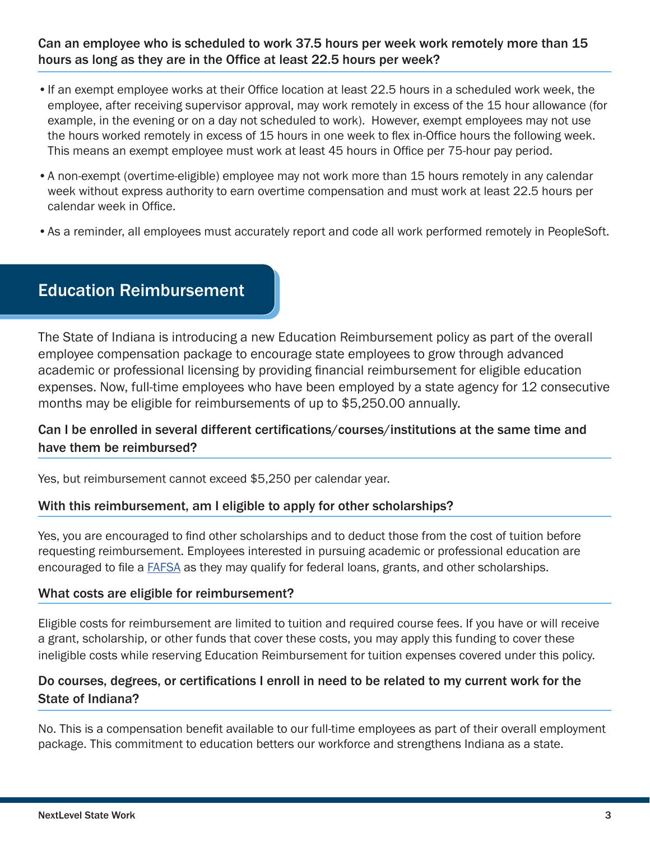# Can an employee who is scheduled to work 37.5 hours per week work remotely more than 15 hours as long as they are in the Office at least 22.5 hours per week?

- •If an exempt employee works at their Office location at least 22.5 hours in a scheduled work week, the employee, after receiving supervisor approval, may work remotely in excess of the 15 hour allowance (for example, in the evening or on a day not scheduled to work). However, exempt employees may not use the hours worked remotely in excess of 15 hours in one week to flex in-Office hours the following week. This means an exempt employee must work at least 45 hours in Office per 75-hour pay period.
- •A non-exempt (overtime-eligible) employee may not work more than 15 hours remotely in any calendar week without express authority to earn overtime compensation and must work at least 22.5 hours per calendar week in Office.
- •As a reminder, all employees must accurately report and code all work performed remotely in PeopleSoft.

# Education Reimbursement

The State of Indiana is introducing a new Education Reimbursement policy as part of the overall employee compensation package to encourage state employees to grow through advanced academic or professional licensing by providing financial reimbursement for eligible education expenses. Now, full-time employees who have been employed by a state agency for 12 consecutive months may be eligible for reimbursements of up to \$5,250.00 annually.

# Can I be enrolled in several different certifications/courses/institutions at the same time and have them be reimbursed?

Yes, but reimbursement cannot exceed \$5,250 per calendar year.

# With this reimbursement, am I eligible to apply for other scholarships?

Yes, you are encouraged to find other scholarships and to deduct those from the cost of tuition before requesting reimbursement. Employees interested in pursuing academic or professional education are encouraged to file a FAFSA as they may qualify for federal loans, grants, and other scholarships.

#### What costs are eligible for reimbursement?

Eligible costs for reimbursement are limited to tuition and required course fees. If you have or will receive a grant, scholarship, or other funds that cover these costs, you may apply this funding to cover these ineligible costs while reserving Education Reimbursement for tuition expenses covered under this policy.

# Do courses, degrees, or certifications I enroll in need to be related to my current work for the State of Indiana?

No. This is a compensation benefit available to our full-time employees as part of their overall employment package. This commitment to education betters our workforce and strengthens Indiana as a state.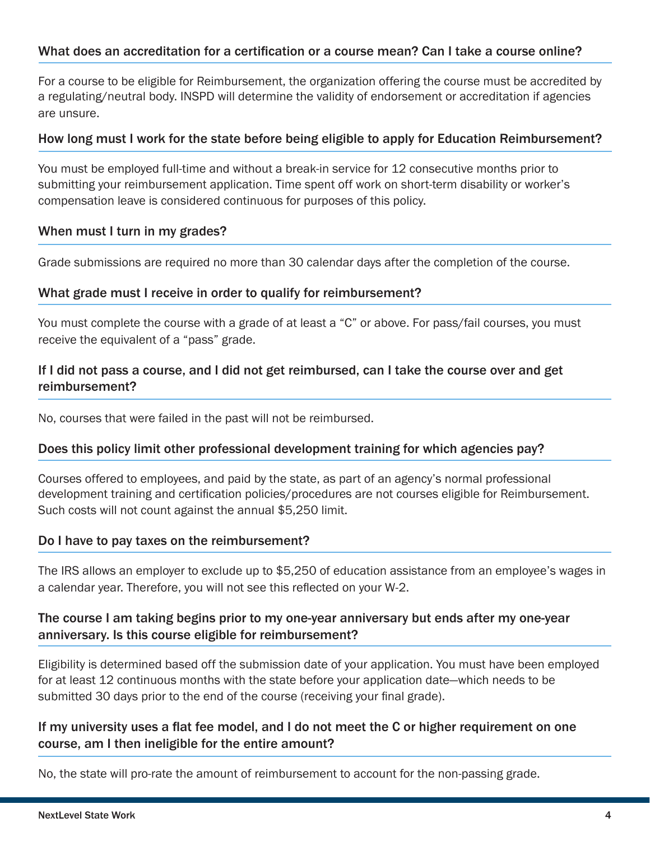# What does an accreditation for a certification or a course mean? Can I take a course online?

For a course to be eligible for Reimbursement, the organization offering the course must be accredited by a regulating/neutral body. INSPD will determine the validity of endorsement or accreditation if agencies are unsure.

#### How long must I work for the state before being eligible to apply for Education Reimbursement?

You must be employed full-time and without a break-in service for 12 consecutive months prior to submitting your reimbursement application. Time spent off work on short-term disability or worker's compensation leave is considered continuous for purposes of this policy.

#### When must I turn in my grades?

Grade submissions are required no more than 30 calendar days after the completion of the course.

# What grade must I receive in order to qualify for reimbursement?

You must complete the course with a grade of at least a "C" or above. For pass/fail courses, you must receive the equivalent of a "pass" grade.

# If I did not pass a course, and I did not get reimbursed, can I take the course over and get reimbursement?

No, courses that were failed in the past will not be reimbursed.

# Does this policy limit other professional development training for which agencies pay?

Courses offered to employees, and paid by the state, as part of an agency's normal professional development training and certification policies/procedures are not courses eligible for Reimbursement. Such costs will not count against the annual \$5,250 limit.

#### Do I have to pay taxes on the reimbursement?

The IRS allows an employer to exclude up to \$5,250 of education assistance from an employee's wages in a calendar year. Therefore, you will not see this reflected on your W-2.

# The course I am taking begins prior to my one-year anniversary but ends after my one-year anniversary. Is this course eligible for reimbursement?

Eligibility is determined based off the submission date of your application. You must have been employed for at least 12 continuous months with the state before your application date—which needs to be submitted 30 days prior to the end of the course (receiving your final grade).

# If my university uses a flat fee model, and I do not meet the C or higher requirement on one course, am I then ineligible for the entire amount?

No, the state will pro-rate the amount of reimbursement to account for the non-passing grade.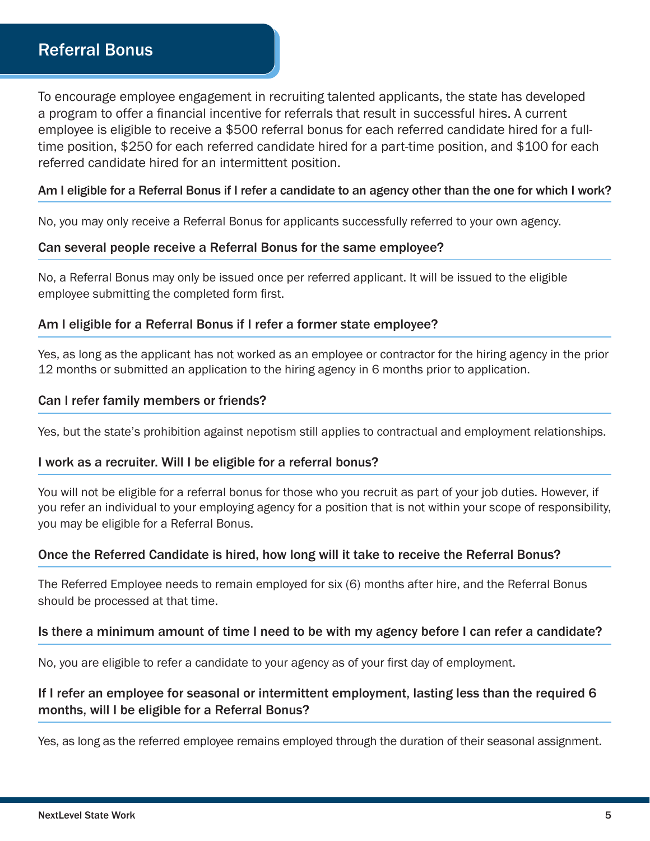# Referral Bonus

To encourage employee engagement in recruiting talented applicants, the state has developed a program to offer a financial incentive for referrals that result in successful hires. A current employee is eligible to receive a \$500 referral bonus for each referred candidate hired for a fulltime position, \$250 for each referred candidate hired for a part-time position, and \$100 for each referred candidate hired for an intermittent position.

#### Am I eligible for a Referral Bonus if I refer a candidate to an agency other than the one for which I work?

No, you may only receive a Referral Bonus for applicants successfully referred to your own agency.

#### Can several people receive a Referral Bonus for the same employee?

No, a Referral Bonus may only be issued once per referred applicant. It will be issued to the eligible employee submitting the completed form first.

#### Am I eligible for a Referral Bonus if I refer a former state employee?

Yes, as long as the applicant has not worked as an employee or contractor for the hiring agency in the prior 12 months or submitted an application to the hiring agency in 6 months prior to application.

#### Can I refer family members or friends?

Yes, but the state's prohibition against nepotism still applies to contractual and employment relationships.

#### I work as a recruiter. Will I be eligible for a referral bonus?

You will not be eligible for a referral bonus for those who you recruit as part of your job duties. However, if you refer an individual to your employing agency for a position that is not within your scope of responsibility, you may be eligible for a Referral Bonus.

#### Once the Referred Candidate is hired, how long will it take to receive the Referral Bonus?

The Referred Employee needs to remain employed for six (6) months after hire, and the Referral Bonus should be processed at that time.

#### Is there a minimum amount of time I need to be with my agency before I can refer a candidate?

No, you are eligible to refer a candidate to your agency as of your first day of employment.

# If I refer an employee for seasonal or intermittent employment, lasting less than the required 6 months, will I be eligible for a Referral Bonus?

Yes, as long as the referred employee remains employed through the duration of their seasonal assignment.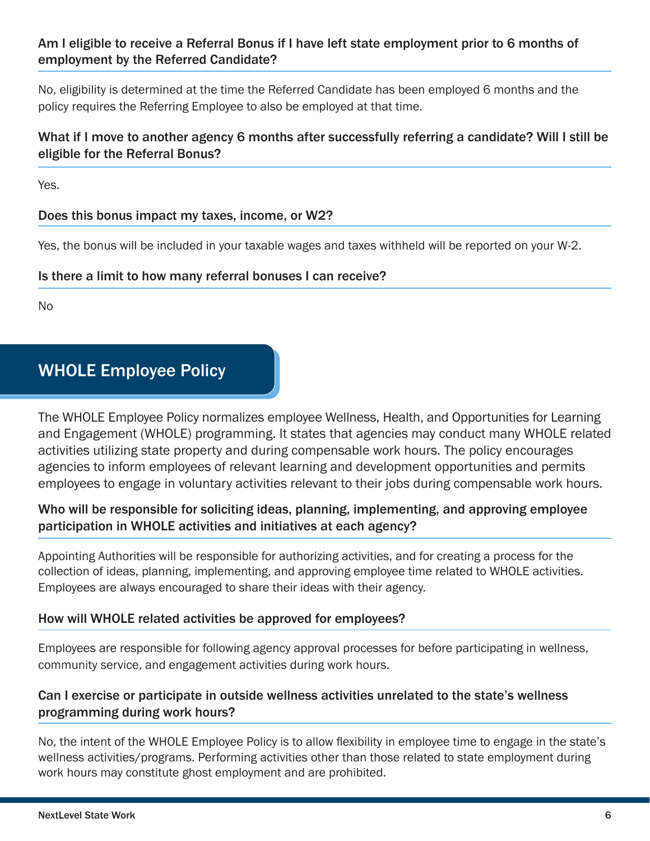# Am I eligible to receive a Referral Bonus if I have left state employment prior to 6 months of employment by the Referred Candidate?

No, eligibility is determined at the time the Referred Candidate has been employed 6 months and the policy requires the Referring Employee to also be employed at that time.

# What if I move to another agency 6 months after successfully referring a candidate? Will I still be eligible for the Referral Bonus?

Yes.

# Does this bonus impact my taxes, income, or W2?

Yes, the bonus will be included in your taxable wages and taxes withheld will be reported on your W-2.

# Is there a limit to how many referral bonuses I can receive?

No

# WHOLE Employee Policy

The WHOLE Employee Policy normalizes employee Wellness, Health, and Opportunities for Learning and Engagement (WHOLE) programming. It states that agencies may conduct many WHOLE related activities utilizing state property and during compensable work hours. The policy encourages agencies to inform employees of relevant learning and development opportunities and permits employees to engage in voluntary activities relevant to their jobs during compensable work hours.

# Who will be responsible for soliciting ideas, planning, implementing, and approving employee participation in WHOLE activities and initiatives at each agency?

Appointing Authorities will be responsible for authorizing activities, and for creating a process for the collection of ideas, planning, implementing, and approving employee time related to WHOLE activities. Employees are always encouraged to share their ideas with their agency.

# How will WHOLE related activities be approved for employees?

Employees are responsible for following agency approval processes for before participating in wellness, community service, and engagement activities during work hours.

# Can I exercise or participate in outside wellness activities unrelated to the state's wellness programming during work hours?

No, the intent of the WHOLE Employee Policy is to allow flexibility in employee time to engage in the state's wellness activities/programs. Performing activities other than those related to state employment during work hours may constitute ghost employment and are prohibited.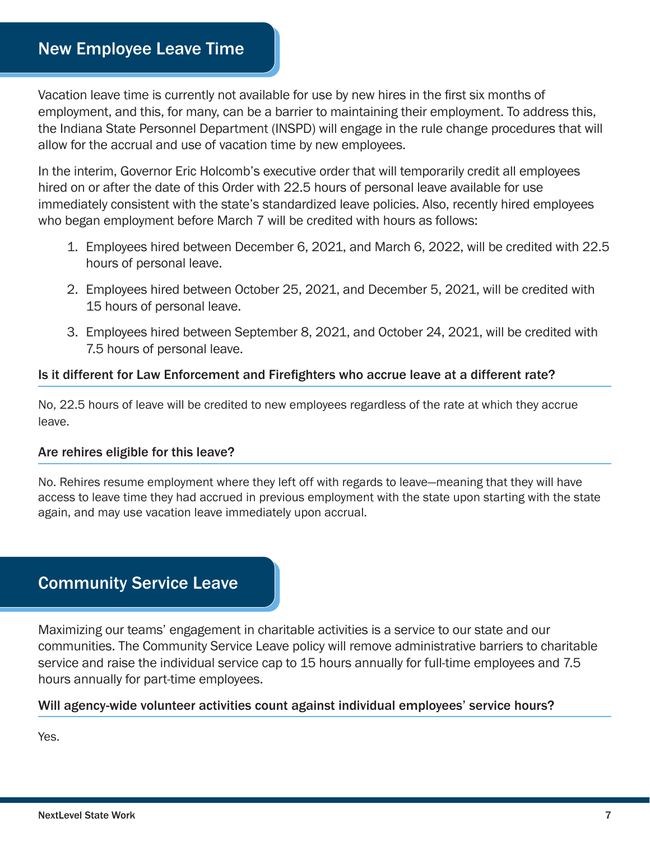Vacation leave time is currently not available for use by new hires in the first six months of employment, and this, for many, can be a barrier to maintaining their employment. To address this, the Indiana State Personnel Department (INSPD) will engage in the rule change procedures that will allow for the accrual and use of vacation time by new employees.

In the interim, Governor Eric Holcomb's executive order that will temporarily credit all employees hired on or after the date of this Order with 22.5 hours of personal leave available for use immediately consistent with the state's standardized leave policies. Also, recently hired employees who began employment before March 7 will be credited with hours as follows:

- 1. Employees hired between December 6, 2021, and March 6, 2022, will be credited with 22.5 hours of personal leave.
- 2. Employees hired between October 25, 2021, and December 5, 2021, will be credited with 15 hours of personal leave.
- 3. Employees hired between September 8, 2021, and October 24, 2021, will be credited with 7.5 hours of personal leave.

# Is it different for Law Enforcement and Firefighters who accrue leave at a different rate?

No, 22.5 hours of leave will be credited to new employees regardless of the rate at which they accrue leave.

# Are rehires eligible for this leave?

No. Rehires resume employment where they left off with regards to leave—meaning that they will have access to leave time they had accrued in previous employment with the state upon starting with the state again, and may use vacation leave immediately upon accrual.

# Community Service Leave

Maximizing our teams' engagement in charitable activities is a service to our state and our communities. The Community Service Leave policy will remove administrative barriers to charitable service and raise the individual service cap to 15 hours annually for full-time employees and 7.5 hours annually for part-time employees.

# Will agency-wide volunteer activities count against individual employees' service hours?

Yes.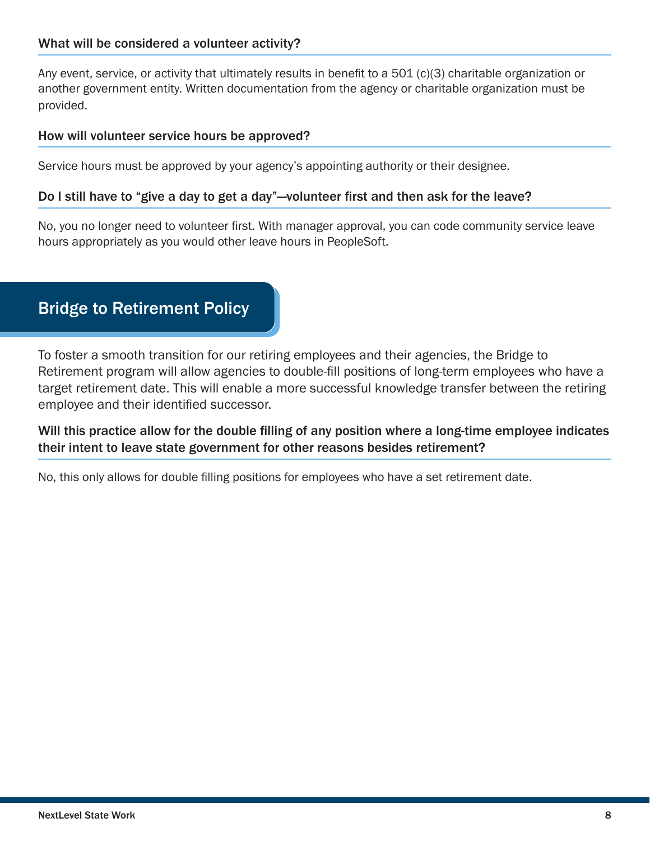# What will be considered a volunteer activity?

Any event, service, or activity that ultimately results in benefit to a 501 (c)(3) charitable organization or another government entity. Written documentation from the agency or charitable organization must be provided.

#### How will volunteer service hours be approved?

Service hours must be approved by your agency's appointing authority or their designee.

#### Do I still have to "give a day to get a day"—volunteer first and then ask for the leave?

No, you no longer need to volunteer first. With manager approval, you can code community service leave hours appropriately as you would other leave hours in PeopleSoft.

# Bridge to Retirement Policy

To foster a smooth transition for our retiring employees and their agencies, the Bridge to Retirement program will allow agencies to double-fill positions of long-term employees who have a target retirement date. This will enable a more successful knowledge transfer between the retiring employee and their identified successor.

Will this practice allow for the double filling of any position where a long-time employee indicates their intent to leave state government for other reasons besides retirement?

No, this only allows for double filling positions for employees who have a set retirement date.